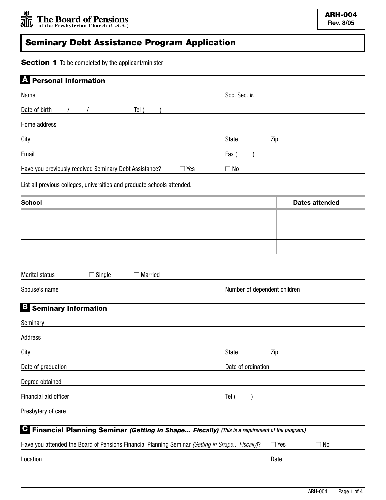## **Seminary Debt Assistance Program Application**

**Section 1** To be completed by the applicant/minister

| <b>Personal Information</b>                                                                                                    |                              |                         |  |
|--------------------------------------------------------------------------------------------------------------------------------|------------------------------|-------------------------|--|
| Name                                                                                                                           | Soc. Sec. #.                 |                         |  |
| Date of birth<br>Tel (                                                                                                         |                              |                         |  |
| Home address                                                                                                                   |                              |                         |  |
| City                                                                                                                           | State                        | Zip                     |  |
| Email<br><u> 1989 - Johann Stein, marwolaethau a bhann an t-Amhainn an t-Amhainn an t-Amhainn an t-Amhainn an t-Amhainn an</u> | Fax (                        |                         |  |
| Have you previously received Seminary Debt Assistance?<br>$\Box$ Yes                                                           | $\Box$ No                    |                         |  |
| List all previous colleges, universities and graduate schools attended.                                                        |                              |                         |  |
| <b>School</b>                                                                                                                  |                              | <b>Dates attended</b>   |  |
|                                                                                                                                |                              |                         |  |
|                                                                                                                                |                              |                         |  |
|                                                                                                                                |                              |                         |  |
|                                                                                                                                |                              |                         |  |
| $\Box$ Single<br>Marital status<br>$\Box$ Married                                                                              |                              |                         |  |
| Spouse's name                                                                                                                  | Number of dependent children |                         |  |
| B<br><b>Seminary Information</b>                                                                                               |                              |                         |  |
| Seminary                                                                                                                       |                              |                         |  |
| Address<br>the control of the control of the control of the control of the control of the control of                           |                              |                         |  |
| City                                                                                                                           | State                        | Zip                     |  |
| Date of graduation                                                                                                             | Date of ordination           |                         |  |
| Degree obtained                                                                                                                |                              |                         |  |
| Financial aid officer                                                                                                          | Tel (                        |                         |  |
| Presbytery of care                                                                                                             |                              |                         |  |
| C<br>Financial Planning Seminar (Getting in Shape Fiscally) (This is a requirement of the program.)                            |                              |                         |  |
| Have you attended the Board of Pensions Financial Planning Seminar (Getting in Shape Fiscally)?                                |                              | $\Box$ No<br>$\Box$ Yes |  |
|                                                                                                                                |                              |                         |  |
| Location                                                                                                                       |                              | Date                    |  |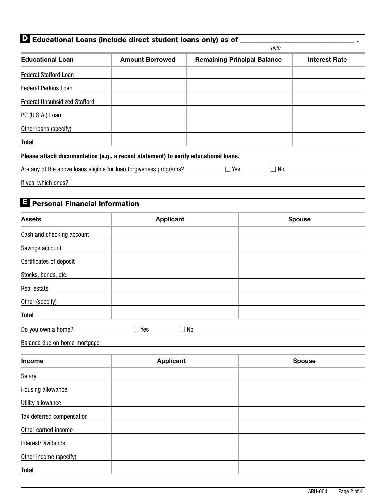|                                            | L'Educational Loans (include direct student loans only) as of                       |            | date                               |                      |
|--------------------------------------------|-------------------------------------------------------------------------------------|------------|------------------------------------|----------------------|
| <b>Educational Loan</b>                    | <b>Amount Borrowed</b>                                                              |            | <b>Remaining Principal Balance</b> | <b>Interest Rate</b> |
| <b>Federal Stafford Loan</b>               |                                                                                     |            |                                    |                      |
| Federal Perkins Loan                       |                                                                                     |            |                                    |                      |
| Federal Unsubsidized Stafford              |                                                                                     |            |                                    |                      |
| PC (U.S.A.) Loan                           |                                                                                     |            |                                    |                      |
| Other loans (specify)                      |                                                                                     |            |                                    |                      |
| <b>Total</b>                               |                                                                                     |            |                                    |                      |
|                                            | Please attach documentation (e.g., a recent statement) to verify educational loans. |            |                                    |                      |
|                                            | Are any of the above loans eligible for loan forgiveness programs?                  | $\Box$ Yes | $\square$ No                       |                      |
| If yes, which ones?                        |                                                                                     |            |                                    |                      |
|                                            |                                                                                     |            |                                    |                      |
| ы<br><b>Personal Financial Information</b> |                                                                                     |            |                                    |                      |
| <b>Assets</b>                              | <b>Applicant</b>                                                                    |            |                                    | <b>Spouse</b>        |
| Cash and checking account                  |                                                                                     |            |                                    |                      |
| Savings account                            |                                                                                     |            |                                    |                      |
| Certificates of deposit                    |                                                                                     |            |                                    |                      |
| Stocks, bonds, etc.                        |                                                                                     |            |                                    |                      |
| Real estate                                |                                                                                     |            |                                    |                      |
| Other (specify)                            |                                                                                     |            |                                    |                      |
| <b>Total</b>                               |                                                                                     |            |                                    |                      |
| Do you own a home?                         | $\square$ Yes<br>$\Box$ No                                                          |            |                                    |                      |
| Balance due on home mortgage               |                                                                                     |            |                                    |                      |
| <b>Income</b>                              | <b>Applicant</b>                                                                    |            |                                    | <b>Spouse</b>        |
| Salary                                     |                                                                                     |            |                                    |                      |
| Housing allowance                          |                                                                                     |            |                                    |                      |
| Utility allowance                          |                                                                                     |            |                                    |                      |
| Tax deferred compensation                  |                                                                                     |            |                                    |                      |
| Other earned income                        |                                                                                     |            |                                    |                      |
| Interest/Dividends                         |                                                                                     |            |                                    |                      |
| Other income (specify)                     |                                                                                     |            |                                    |                      |
| <b>Total</b>                               |                                                                                     |            |                                    |                      |

**D**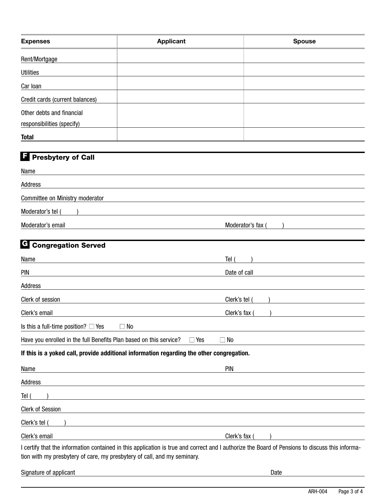| <b>Expenses</b>                                                          | <b>Applicant</b>                                                                                                                                | <b>Spouse</b>   |
|--------------------------------------------------------------------------|-------------------------------------------------------------------------------------------------------------------------------------------------|-----------------|
| Rent/Mortgage                                                            |                                                                                                                                                 |                 |
| <b>Utilities</b>                                                         |                                                                                                                                                 |                 |
| Car Ioan                                                                 |                                                                                                                                                 |                 |
| Credit cards (current balances)                                          |                                                                                                                                                 |                 |
| Other debts and financial<br>responsibilities (specify)                  |                                                                                                                                                 |                 |
| <b>Total</b>                                                             |                                                                                                                                                 |                 |
| <b>F</b> Presbytery of Call                                              |                                                                                                                                                 |                 |
| Name                                                                     |                                                                                                                                                 |                 |
| Address                                                                  |                                                                                                                                                 |                 |
| Committee on Ministry moderator                                          |                                                                                                                                                 |                 |
| Moderator's tel                                                          |                                                                                                                                                 |                 |
| Moderator's email                                                        |                                                                                                                                                 | Moderator's fax |
| <b>C</b> Congregation Served                                             |                                                                                                                                                 |                 |
| Name                                                                     | Tel (                                                                                                                                           |                 |
| <b>PIN</b>                                                               | Date of call                                                                                                                                    |                 |
| Address                                                                  |                                                                                                                                                 |                 |
| Clerk of session                                                         | Clerk's tel                                                                                                                                     |                 |
| Clerk's email                                                            | Clerk's fax                                                                                                                                     |                 |
| Is this a full-time position? $\Box$ Yes                                 | $\Box$ No                                                                                                                                       |                 |
| Have you enrolled in the full Benefits Plan based on this service?       | $\Box$ Yes<br>$\Box$ No                                                                                                                         |                 |
|                                                                          | If this is a yoked call, provide additional information regarding the other congregation.                                                       |                 |
| Name                                                                     | <b>PIN</b>                                                                                                                                      |                 |
| Address                                                                  |                                                                                                                                                 |                 |
| Tel (                                                                    |                                                                                                                                                 |                 |
| <b>Clerk of Session</b>                                                  |                                                                                                                                                 |                 |
| Clerk's tel (                                                            |                                                                                                                                                 |                 |
| Clerk's email                                                            | Clerk's fax (                                                                                                                                   |                 |
| tion with my presbytery of care, my presbytery of call, and my seminary. | I certify that the information contained in this application is true and correct and I authorize the Board of Pensions to discuss this informa- |                 |

Signature of applicant Date